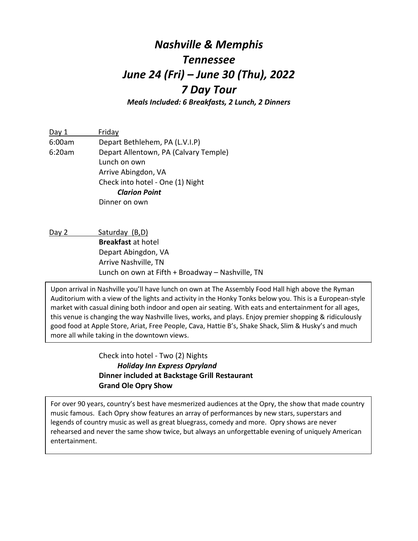# *Nashville & Memphis Tennessee June 24 (Fri) – June 30 (Thu), 2022 7 Day Tour*

*Meals Included: 6 Breakfasts, 2 Lunch, 2 Dinners*

Day 1 Friday 6:00am Depart Bethlehem, PA (L.V.I.P) 6:20am Depart Allentown, PA (Calvary Temple) Lunch on own Arrive Abingdon, VA Check into hotel - One (1) Night *Clarion Point* Dinner on own

Day 2 Saturday (B,D) **Breakfast** at hotel Depart Abingdon, VA Arrive Nashville, TN Lunch on own at Fifth + Broadway – Nashville, TN

Upon arrival in Nashville you'll have lunch on own at The Assembly Food Hall high above the Ryman Auditorium with a view of the lights and activity in the Honky Tonks below you. This is a European-style market with casual dining both indoor and open air seating. With eats and entertainment for all ages, this venue is changing the way Nashville lives, works, and plays. Enjoy premier shopping & ridiculously good food at Apple Store, Ariat, Free People, Cava, Hattie B's, Shake Shack, Slim & Husky's and much more all while taking in the downtown views.

> Check into hotel - Two (2) Nights *Holiday Inn Express Opryland* **Dinner included at Backstage Grill Restaurant Grand Ole Opry Show**

For over 90 years, country's best have mesmerized audiences at the Opry, the show that made country music famous. Each Opry show features an array of performances by new stars, superstars and legends of country music as well as great bluegrass, comedy and more. Opry shows are never rehearsed and never the same show twice, but always an unforgettable evening of uniquely American entertainment.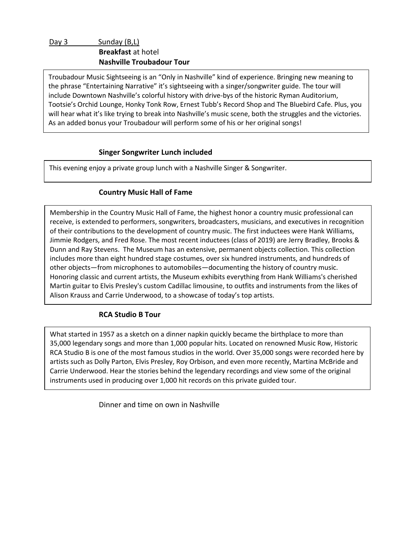Troubadour Music Sightseeing is an "Only in Nashville" kind of experience. Bringing new meaning to the phrase "Entertaining Narrative" it's sightseeing with a singer/songwriter guide. The tour will include Downtown Nashville's colorful history with drive-bys of the historic Ryman Auditorium, Tootsie's Orchid Lounge, Honky Tonk Row, Ernest Tubb's Record Shop and The Bluebird Cafe. Plus, you will hear what it's like trying to break into Nashville's music scene, both the struggles and the victories. As an added bonus your Troubadour will perform some of his or her original songs!

## **Singer Songwriter Lunch included**

This evening enjoy a private group lunch with a Nashville Singer & Songwriter.

## **Country Music Hall of Fame**

Membership in the Country Music Hall of Fame, the highest honor a country music professional can receive, is extended to performers, songwriters, broadcasters, musicians, and executives in recognition of their contributions to the development of country music. The first inductees were Hank Williams, Jimmie Rodgers, and Fred Rose. The most recent inductees (class of 2019) are Jerry Bradley, Brooks & Dunn and Ray Stevens. The Museum has an extensive, permanent objects collection. This collection includes more than eight hundred stage costumes, over six hundred instruments, and hundreds of other objects—from microphones to automobiles—documenting the history of country music. Honoring classic and current artists, the Museum exhibits everything from Hank Williams's cherished Martin guitar to Elvis Presley's custom Cadillac limousine, to outfits and instruments from the likes of Alison Krauss and Carrie Underwood, to a showcase of today's top artists.

## **RCA Studio B Tour**

What started in 1957 as a sketch on a dinner napkin quickly became the birthplace to more than 35,000 legendary songs and more than 1,000 popular hits. Located on renowned Music Row, Historic RCA Studio B is one of the most famous studios in the world. Over 35,000 songs were recorded here by artists such as Dolly Parton, Elvis Presley, Roy Orbison, and even more recently, Martina McBride and Carrie Underwood. Hear the stories behind the legendary recordings and view some of the original instruments used in producing over 1,000 hit records on this private guided tour.

Dinner and time on own in Nashville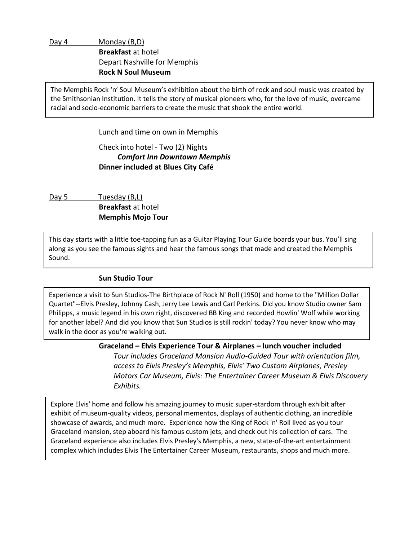Day 4 Monday (B,D) **Breakfast** at hotel Depart Nashville for Memphis **Rock N Soul Museum**

The Memphis Rock 'n' Soul Museum's exhibition about the birth of rock and soul music was created by the Smithsonian Institution. It tells the story of musical pioneers who, for the love of music, overcame racial and socio-economic barriers to create the music that shook the entire world.

Lunch and time on own in Memphis

Check into hotel - Two (2) Nights

## *Comfort Inn Downtown Memphis* **Dinner included at Blues City Café**

Day 5 Tuesday (B,L) **Breakfast** at hotel **Memphis Mojo Tour**

This day starts with a little toe-tapping fun as a Guitar Playing Tour Guide boards your bus. You'll sing along as you see the famous sights and hear the famous songs that made and created the Memphis Sound.

#### **Sun Studio Tour**

Experience a visit to Sun Studios-The Birthplace of Rock N' Roll (1950) and home to the "Million Dollar Quartet"--Elvis Presley, Johnny Cash, Jerry Lee Lewis and Carl Perkins. Did you know Studio owner Sam Philipps, a music legend in his own right, discovered BB King and recorded Howlin' Wolf while working for another label? And did you know that Sun Studios is still rockin' today? You never know who may walk in the door as you're walking out.

#### **Graceland – Elvis Experience Tour & Airplanes – lunch voucher included**

*Tour includes Graceland Mansion Audio-Guided Tour with orientation film, access to Elvis Presley's Memphis, Elvis' Two Custom Airplanes, Presley Motors Car Museum, Elvis: The Entertainer Career Museum & Elvis Discovery Exhibits.*

complex which includes Elvis The Entertainer Career Museum, restaurants, shops and much more. Explore Elvis' home and follow his amazing journey to music super-stardom through exhibit after exhibit of museum-quality videos, personal mementos, displays of authentic clothing, an incredible showcase of awards, and much more. Experience how the King of Rock 'n' Roll lived as you tour Graceland mansion, step aboard his famous custom jets, and check out his collection of cars. The Graceland experience also includes Elvis Presley's Memphis, a new, state-of-the-art entertainment